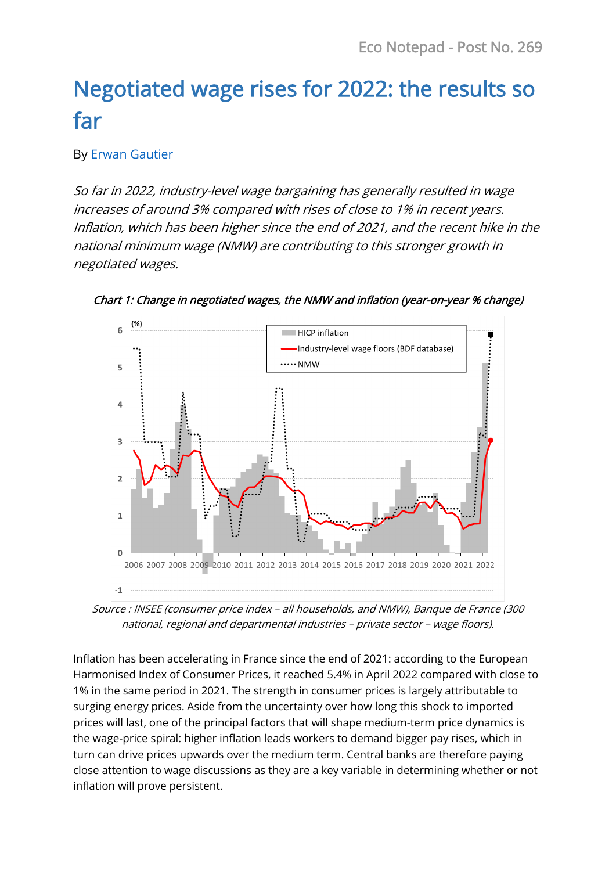# Negotiated wage rises for 2022: the results so far

## By [Erwan Gautier](https://www.banque-france.fr/en/economics/economists-and-researchers/erwan-gautier)

So far in 2022, industry-level wage bargaining has generally resulted in wage increases of around 3% compared with rises of close to 1% in recent years. Inflation, which has been higher since the end of 2021, and the recent hike in the national minimum wage (NMW) are contributing to this stronger growth in negotiated wages.



Chart 1: Change in negotiated wages, the NMW and inflation (year-on-year % change)

Source : INSEE (consumer price index – all households, and NMW), Banque de France (300 national, regional and departmental industries – private sector – wage floors).

Inflation has been accelerating in France since the end of 2021: according to the European Harmonised Index of Consumer Prices, it reached 5.4% in April 2022 compared with close to 1% in the same period in 2021. The strength in consumer prices is largely attributable to surging energy prices. Aside from the uncertainty over how long this shock to imported prices will last, one of the principal factors that will shape medium-term price dynamics is the wage-price spiral: higher inflation leads workers to demand bigger pay rises, which in turn can drive prices upwards over the medium term. Central banks are therefore paying close attention to wage discussions as they are a key variable in determining whether or not inflation will prove persistent.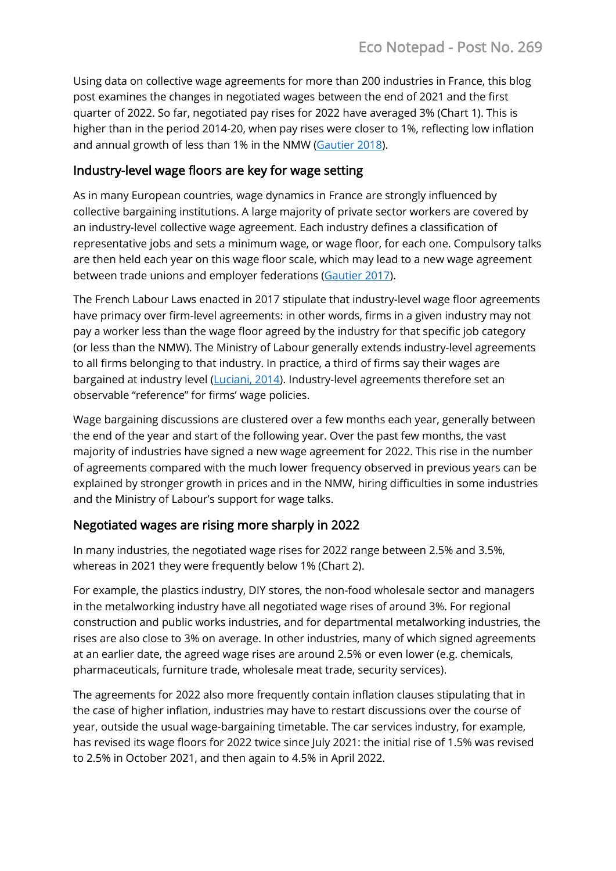Using data on collective wage agreements for more than 200 industries in France, this blog post examines the changes in negotiated wages between the end of 2021 and the first quarter of 2022. So far, negotiated pay rises for 2022 have averaged 3% (Chart 1). This is higher than in the period 2014-20, when pay rises were closer to 1%, reflecting low inflation and annual growth of less than 1% in the NMW [\(Gautier 2018\)](https://blocnotesdeleco.banque-france.fr/en/blog-entry/what-outlook-negotiated-wages-france).

## Industry-level wage floors are key for wage setting

As in many European countries, wage dynamics in France are strongly influenced by collective bargaining institutions. A large majority of private sector workers are covered by an industry-level collective wage agreement. Each industry defines a classification of representative jobs and sets a minimum wage, or wage floor, for each one. Compulsory talks are then held each year on this wage floor scale, which may lead to a new wage agreement between trade unions and employer federations [\(Gautier 2017\)](https://www.cairn.info/revue-francaise-d-economie-2017-1-page-94.htm).

The French Labour Laws enacted in 2017 stipulate that industry-level wage floor agreements have primacy over firm-level agreements: in other words, firms in a given industry may not pay a worker less than the wage floor agreed by the industry for that specific job category (or less than the NMW). The Ministry of Labour generally extends industry-level agreements to all firms belonging to that industry. In practice, a third of firms say their wages are bargained at industry level [\(Luciani, 2014\)](https://www.insee.fr/fr/statistiques/1372799?sommaire=1372813). Industry-level agreements therefore set an observable "reference" for firms' wage policies.

Wage bargaining discussions are clustered over a few months each year, generally between the end of the year and start of the following year. Over the past few months, the vast majority of industries have signed a new wage agreement for 2022. This rise in the number of agreements compared with the much lower frequency observed in previous years can be explained by stronger growth in prices and in the NMW, hiring difficulties in some industries and the Ministry of Labour's support for wage talks.

# Negotiated wages are rising more sharply in 2022

In many industries, the negotiated wage rises for 2022 range between 2.5% and 3.5%, whereas in 2021 they were frequently below 1% (Chart 2).

For example, the plastics industry, DIY stores, the non-food wholesale sector and managers in the metalworking industry have all negotiated wage rises of around 3%. For regional construction and public works industries, and for departmental metalworking industries, the rises are also close to 3% on average. In other industries, many of which signed agreements at an earlier date, the agreed wage rises are around 2.5% or even lower (e.g. chemicals, pharmaceuticals, furniture trade, wholesale meat trade, security services).

The agreements for 2022 also more frequently contain inflation clauses stipulating that in the case of higher inflation, industries may have to restart discussions over the course of year, outside the usual wage-bargaining timetable. The car services industry, for example, has revised its wage floors for 2022 twice since July 2021: the initial rise of 1.5% was revised to 2.5% in October 2021, and then again to 4.5% in April 2022.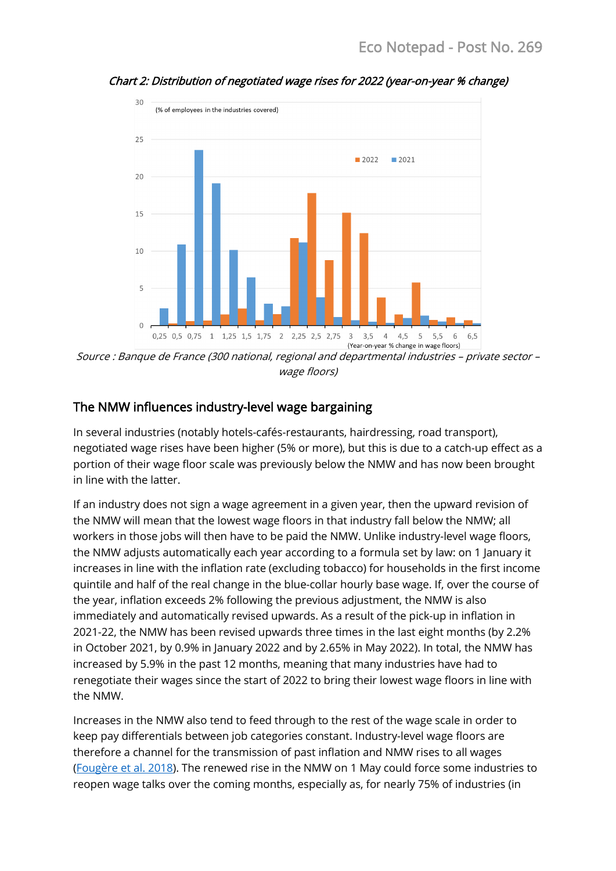

Chart 2: Distribution of negotiated wage rises for 2022 (year-on-year % change)

Source : Banque de France (300 national, regional and departmental industries – private sector – wage floors)

### The NMW influences industry-level wage bargaining

In several industries (notably hotels-cafés-restaurants, hairdressing, road transport), negotiated wage rises have been higher (5% or more), but this is due to a catch-up effect as a portion of their wage floor scale was previously below the NMW and has now been brought in line with the latter.

If an industry does not sign a wage agreement in a given year, then the upward revision of the NMW will mean that the lowest wage floors in that industry fall below the NMW; all workers in those jobs will then have to be paid the NMW. Unlike industry-level wage floors, the NMW adjusts automatically each year according to a formula set by law: on 1 January it increases in line with the inflation rate (excluding tobacco) for households in the first income quintile and half of the real change in the blue-collar hourly base wage. If, over the course of the year, inflation exceeds 2% following the previous adjustment, the NMW is also immediately and automatically revised upwards. As a result of the pick-up in inflation in 2021-22, the NMW has been revised upwards three times in the last eight months (by 2.2% in October 2021, by 0.9% in January 2022 and by 2.65% in May 2022). In total, the NMW has increased by 5.9% in the past 12 months, meaning that many industries have had to renegotiate their wages since the start of 2022 to bring their lowest wage floors in line with the NMW.

Increases in the NMW also tend to feed through to the rest of the wage scale in order to keep pay differentials between job categories constant. Industry-level wage floors are therefore a channel for the transmission of past inflation and NMW rises to all wages [\(Fougère et al. 2018\)](https://www.sciencedirect.com/science/article/pii/S0927537118300927). The renewed rise in the NMW on 1 May could force some industries to reopen wage talks over the coming months, especially as, for nearly 75% of industries (in